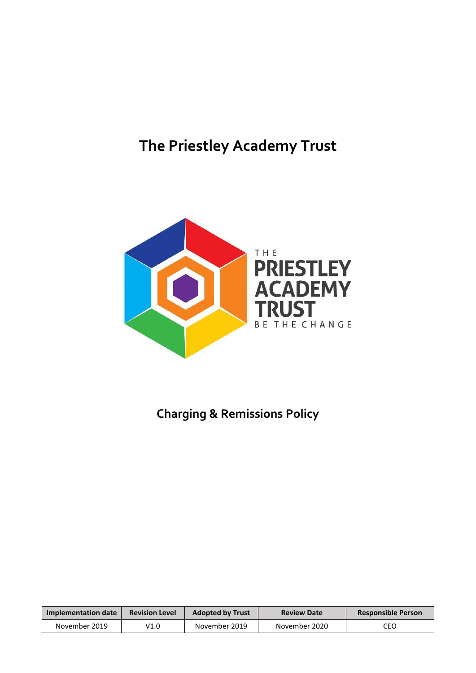# **The Priestley Academy Trust**



## **Charging & Remissions Policy**

| Implementation date | <b>Revision Level</b> | <b>Adopted by Trust</b> | <b>Review Date</b> | <b>Responsible Person</b> |
|---------------------|-----------------------|-------------------------|--------------------|---------------------------|
| November 2019       | V1.0                  | November 2019           | November 2020      | CEO                       |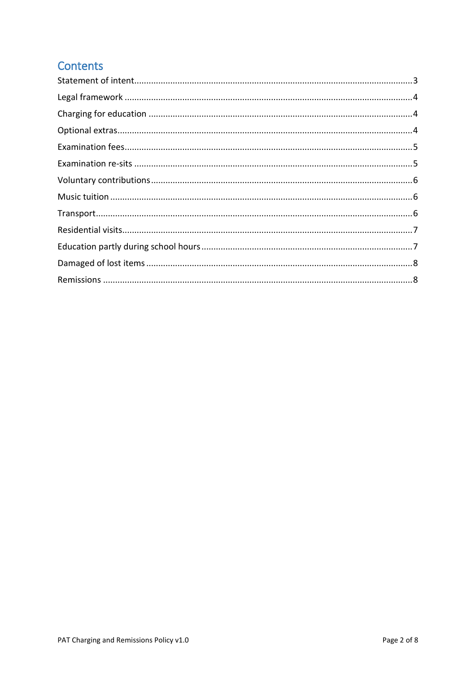## **Contents**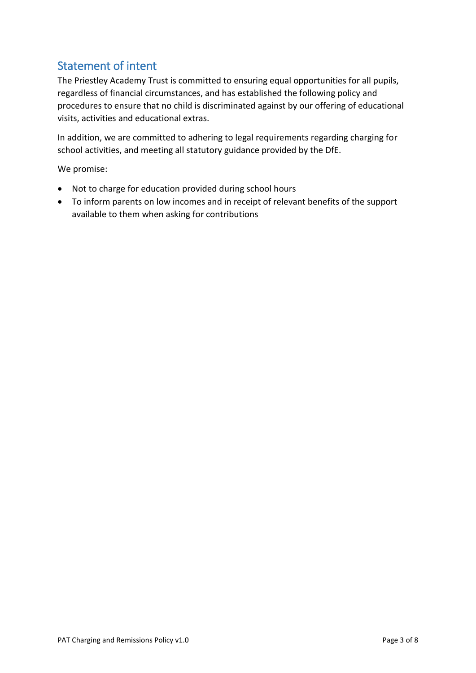## <span id="page-2-0"></span>Statement of intent

The Priestley Academy Trust is committed to ensuring equal opportunities for all pupils, regardless of financial circumstances, and has established the following policy and procedures to ensure that no child is discriminated against by our offering of educational visits, activities and educational extras.

In addition, we are committed to adhering to legal requirements regarding charging for school activities, and meeting all statutory guidance provided by the DfE.

We promise:

- Not to charge for education provided during school hours
- To inform parents on low incomes and in receipt of relevant benefits of the support available to them when asking for contributions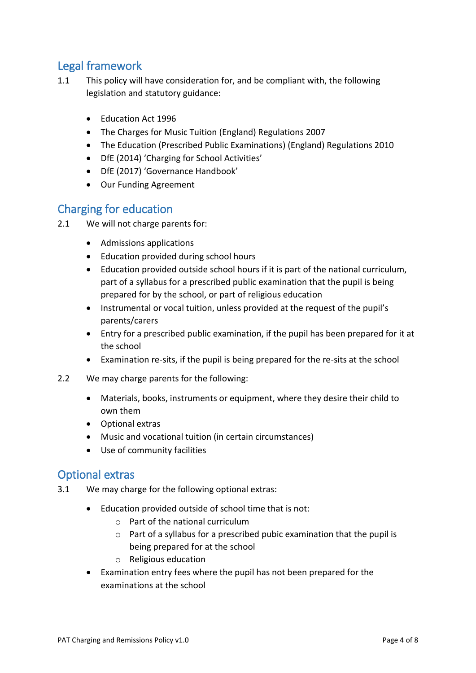## <span id="page-3-0"></span>Legal framework

- 1.1 This policy will have consideration for, and be compliant with, the following legislation and statutory guidance:
	- Education Act 1996
	- The Charges for Music Tuition (England) Regulations 2007
	- The Education (Prescribed Public Examinations) (England) Regulations 2010
	- DfE (2014) 'Charging for School Activities'
	- DfE (2017) 'Governance Handbook'
	- Our Funding Agreement

#### <span id="page-3-1"></span>Charging for education

- 2.1 We will not charge parents for:
	- Admissions applications
	- Education provided during school hours
	- Education provided outside school hours if it is part of the national curriculum, part of a syllabus for a prescribed public examination that the pupil is being prepared for by the school, or part of religious education
	- Instrumental or vocal tuition, unless provided at the request of the pupil's parents/carers
	- Entry for a prescribed public examination, if the pupil has been prepared for it at the school
	- Examination re-sits, if the pupil is being prepared for the re-sits at the school
- 2.2 We may charge parents for the following:
	- Materials, books, instruments or equipment, where they desire their child to own them
	- Optional extras
	- Music and vocational tuition (in certain circumstances)
	- Use of community facilities

#### <span id="page-3-2"></span>Optional extras

- 3.1 We may charge for the following optional extras:
	- Education provided outside of school time that is not:
		- $\circ$  Part of the national curriculum
		- o Part of a syllabus for a prescribed pubic examination that the pupil is being prepared for at the school
		- o Religious education
	- Examination entry fees where the pupil has not been prepared for the examinations at the school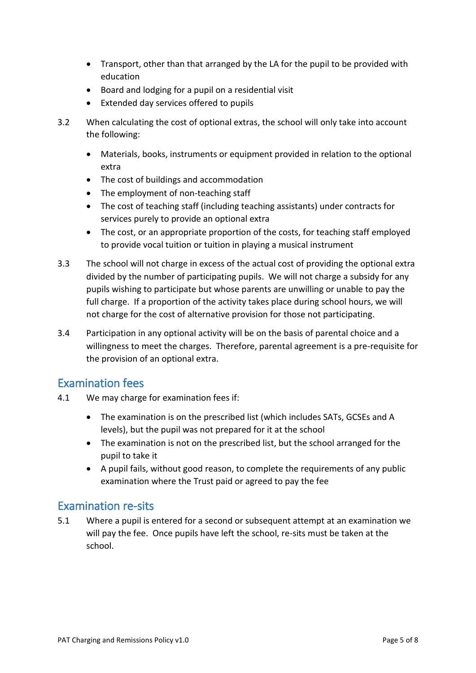- Transport, other than that arranged by the LA for the pupil to be provided with education
- Board and lodging for a pupil on a residential visit
- Extended day services offered to pupils
- 3.2 When calculating the cost of optional extras, the school will only take into account the following:
	- Materials, books, instruments or equipment provided in relation to the optional extra
	- The cost of buildings and accommodation
	- The employment of non-teaching staff
	- The cost of teaching staff (including teaching assistants) under contracts for services purely to provide an optional extra
	- The cost, or an appropriate proportion of the costs, for teaching staff employed to provide vocal tuition or tuition in playing a musical instrument
- 3.3 The school will not charge in excess of the actual cost of providing the optional extra divided by the number of participating pupils. We will not charge a subsidy for any pupils wishing to participate but whose parents are unwilling or unable to pay the full charge. If a proportion of the activity takes place during school hours, we will not charge for the cost of alternative provision for those not participating.
- 3.4 Participation in any optional activity will be on the basis of parental choice and a willingness to meet the charges. Therefore, parental agreement is a pre-requisite for the provision of an optional extra.

#### <span id="page-4-0"></span>Examination fees

- 4.1 We may charge for examination fees if:
	- The examination is on the prescribed list (which includes SATs, GCSEs and A levels), but the pupil was not prepared for it at the school
	- The examination is not on the prescribed list, but the school arranged for the pupil to take it
	- A pupil fails, without good reason, to complete the requirements of any public examination where the Trust paid or agreed to pay the fee

#### <span id="page-4-1"></span>Examination re-sits

5.1 Where a pupil is entered for a second or subsequent attempt at an examination we will pay the fee. Once pupils have left the school, re-sits must be taken at the school.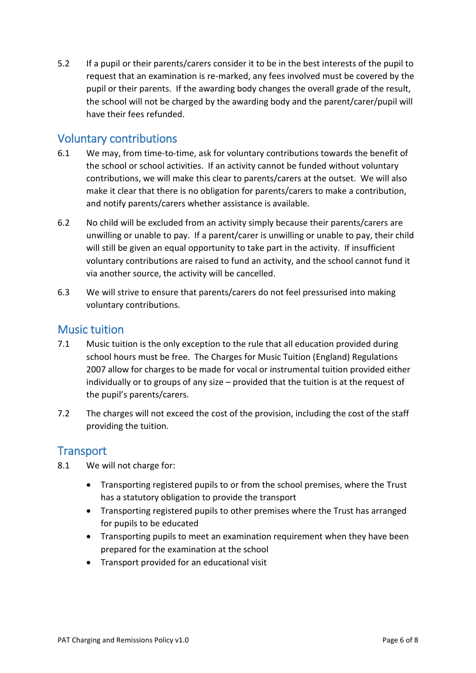5.2 If a pupil or their parents/carers consider it to be in the best interests of the pupil to request that an examination is re-marked, any fees involved must be covered by the pupil or their parents. If the awarding body changes the overall grade of the result, the school will not be charged by the awarding body and the parent/carer/pupil will have their fees refunded.

#### <span id="page-5-0"></span>Voluntary contributions

- 6.1 We may, from time-to-time, ask for voluntary contributions towards the benefit of the school or school activities. If an activity cannot be funded without voluntary contributions, we will make this clear to parents/carers at the outset. We will also make it clear that there is no obligation for parents/carers to make a contribution, and notify parents/carers whether assistance is available.
- 6.2 No child will be excluded from an activity simply because their parents/carers are unwilling or unable to pay. If a parent/carer is unwilling or unable to pay, their child will still be given an equal opportunity to take part in the activity. If insufficient voluntary contributions are raised to fund an activity, and the school cannot fund it via another source, the activity will be cancelled.
- 6.3 We will strive to ensure that parents/carers do not feel pressurised into making voluntary contributions.

#### <span id="page-5-1"></span>Music tuition

- 7.1 Music tuition is the only exception to the rule that all education provided during school hours must be free. The Charges for Music Tuition (England) Regulations 2007 allow for charges to be made for vocal or instrumental tuition provided either individually or to groups of any size – provided that the tuition is at the request of the pupil's parents/carers.
- 7.2 The charges will not exceed the cost of the provision, including the cost of the staff providing the tuition.

#### <span id="page-5-2"></span>**Transport**

- 8.1 We will not charge for:
	- Transporting registered pupils to or from the school premises, where the Trust has a statutory obligation to provide the transport
	- Transporting registered pupils to other premises where the Trust has arranged for pupils to be educated
	- Transporting pupils to meet an examination requirement when they have been prepared for the examination at the school
	- Transport provided for an educational visit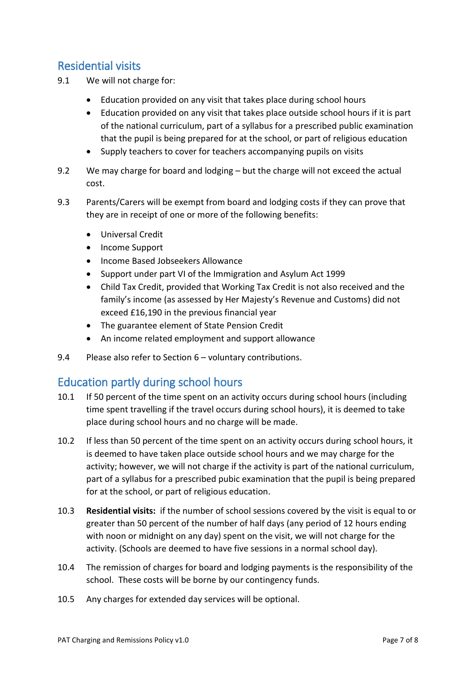## <span id="page-6-0"></span>Residential visits

- 9.1 We will not charge for:
	- Education provided on any visit that takes place during school hours
	- Education provided on any visit that takes place outside school hours if it is part of the national curriculum, part of a syllabus for a prescribed public examination that the pupil is being prepared for at the school, or part of religious education
	- Supply teachers to cover for teachers accompanying pupils on visits
- 9.2 We may charge for board and lodging but the charge will not exceed the actual cost.
- 9.3 Parents/Carers will be exempt from board and lodging costs if they can prove that they are in receipt of one or more of the following benefits:
	- Universal Credit
	- Income Support
	- Income Based Jobseekers Allowance
	- Support under part VI of the Immigration and Asylum Act 1999
	- Child Tax Credit, provided that Working Tax Credit is not also received and the family's income (as assessed by Her Majesty's Revenue and Customs) did not exceed £16,190 in the previous financial year
	- The guarantee element of State Pension Credit
	- An income related employment and support allowance
- 9.4 Please also refer to Section 6 voluntary contributions.

#### <span id="page-6-1"></span>Education partly during school hours

- 10.1 If 50 percent of the time spent on an activity occurs during school hours (including time spent travelling if the travel occurs during school hours), it is deemed to take place during school hours and no charge will be made.
- 10.2 If less than 50 percent of the time spent on an activity occurs during school hours, it is deemed to have taken place outside school hours and we may charge for the activity; however, we will not charge if the activity is part of the national curriculum, part of a syllabus for a prescribed pubic examination that the pupil is being prepared for at the school, or part of religious education.
- 10.3 **Residential visits:** if the number of school sessions covered by the visit is equal to or greater than 50 percent of the number of half days (any period of 12 hours ending with noon or midnight on any day) spent on the visit, we will not charge for the activity. (Schools are deemed to have five sessions in a normal school day).
- 10.4 The remission of charges for board and lodging payments is the responsibility of the school. These costs will be borne by our contingency funds.
- 10.5 Any charges for extended day services will be optional.